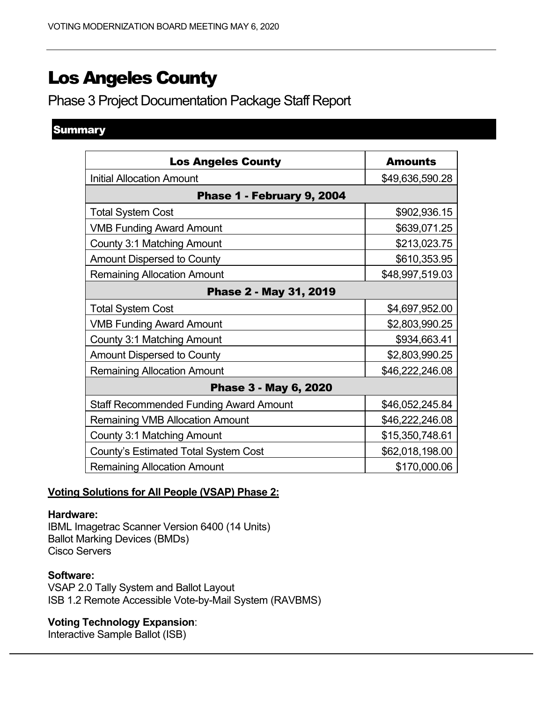# Los Angeles County

Phase 3 Project Documentation Package Staff Report

# **Summary**

| <b>Los Angeles County</b>                     | <b>Amounts</b>  |  |  |  |  |
|-----------------------------------------------|-----------------|--|--|--|--|
| <b>Initial Allocation Amount</b>              | \$49,636,590.28 |  |  |  |  |
| Phase 1 - February 9, 2004                    |                 |  |  |  |  |
| <b>Total System Cost</b>                      | \$902,936.15    |  |  |  |  |
| <b>VMB Funding Award Amount</b>               | \$639,071.25    |  |  |  |  |
| County 3:1 Matching Amount                    | \$213,023.75    |  |  |  |  |
| <b>Amount Dispersed to County</b>             | \$610,353.95    |  |  |  |  |
| <b>Remaining Allocation Amount</b>            | \$48,997,519.03 |  |  |  |  |
| Phase 2 - May 31, 2019                        |                 |  |  |  |  |
| <b>Total System Cost</b>                      | \$4,697,952.00  |  |  |  |  |
| <b>VMB Funding Award Amount</b>               | \$2,803,990.25  |  |  |  |  |
| County 3:1 Matching Amount                    | \$934,663.41    |  |  |  |  |
| <b>Amount Dispersed to County</b>             | \$2,803,990.25  |  |  |  |  |
| <b>Remaining Allocation Amount</b>            | \$46,222,246.08 |  |  |  |  |
| Phase 3 - May 6, 2020                         |                 |  |  |  |  |
| <b>Staff Recommended Funding Award Amount</b> | \$46,052,245.84 |  |  |  |  |
| <b>Remaining VMB Allocation Amount</b>        | \$46,222,246.08 |  |  |  |  |
| County 3:1 Matching Amount                    | \$15,350,748.61 |  |  |  |  |
| <b>County's Estimated Total System Cost</b>   | \$62,018,198.00 |  |  |  |  |
| <b>Remaining Allocation Amount</b>            | \$170,000.06    |  |  |  |  |

#### **Voting Solutions for All People (VSAP) Phase 2:**

#### **Hardware:**

IBML Imagetrac Scanner Version 6400 (14 Units) Ballot Marking Devices (BMDs) Cisco Servers

#### **Software:**

VSAP 2.0 Tally System and Ballot Layout ISB 1.2 Remote Accessible Vote-by-Mail System (RAVBMS)

# **Voting Technology Expansion**:

Interactive Sample Ballot (ISB)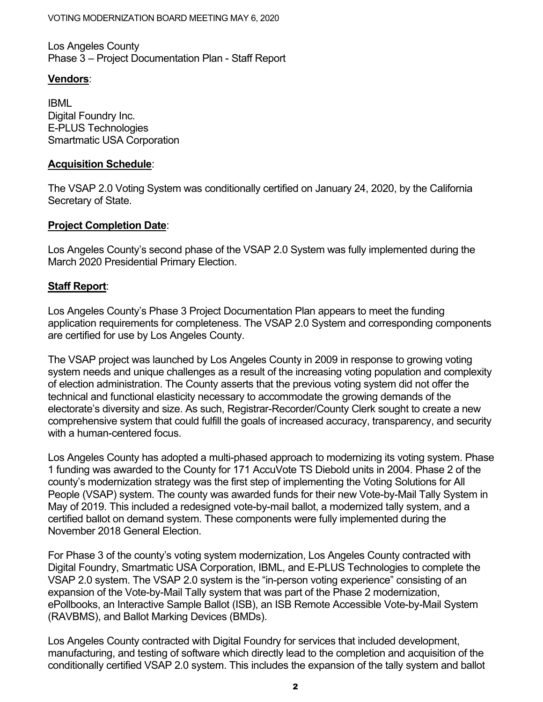Los Angeles County Phase 3 – Project Documentation Plan - Staff Report

# **Vendors**:

IBML Digital Foundry Inc. E-PLUS Technologies Smartmatic USA Corporation

#### **Acquisition Schedule**:

The VSAP 2.0 Voting System was conditionally certified on January 24, 2020, by the California Secretary of State.

## **Project Completion Date**:

Los Angeles County's second phase of the VSAP 2.0 System was fully implemented during the March 2020 Presidential Primary Election.

## **Staff Report**:

Los Angeles County's Phase 3 Project Documentation Plan appears to meet the funding application requirements for completeness. The VSAP 2.0 System and corresponding components are certified for use by Los Angeles County.

The VSAP project was launched by Los Angeles County in 2009 in response to growing voting system needs and unique challenges as a result of the increasing voting population and complexity of election administration. The County asserts that the previous voting system did not offer the technical and functional elasticity necessary to accommodate the growing demands of the electorate's diversity and size. As such, Registrar-Recorder/County Clerk sought to create a new comprehensive system that could fulfill the goals of increased accuracy, transparency, and security with a human-centered focus.

Los Angeles County has adopted a multi-phased approach to modernizing its voting system. Phase 1 funding was awarded to the County for 171 AccuVote TS Diebold units in 2004. Phase 2 of the county's modernization strategy was the first step of implementing the Voting Solutions for All People (VSAP) system. The county was awarded funds for their new Vote-by-Mail Tally System in May of 2019. This included a redesigned vote-by-mail ballot, a modernized tally system, and a certified ballot on demand system. These components were fully implemented during the November 2018 General Election.

For Phase 3 of the county's voting system modernization, Los Angeles County contracted with Digital Foundry, Smartmatic USA Corporation, IBML, and E-PLUS Technologies to complete the VSAP 2.0 system. The VSAP 2.0 system is the "in-person voting experience" consisting of an expansion of the Vote-by-Mail Tally system that was part of the Phase 2 modernization, ePollbooks, an Interactive Sample Ballot (ISB), an ISB Remote Accessible Vote-by-Mail System (RAVBMS), and Ballot Marking Devices (BMDs).

Los Angeles County contracted with Digital Foundry for services that included development, manufacturing, and testing of software which directly lead to the completion and acquisition of the conditionally certified VSAP 2.0 system. This includes the expansion of the tally system and ballot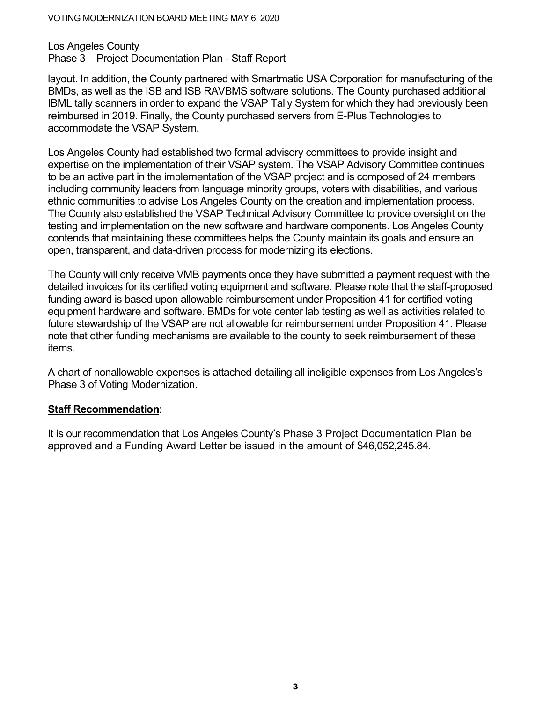#### VOTING MODERNIZATION BOARD MEETING MAY 6, 2020

Los Angeles County Phase 3 – Project Documentation Plan - Staff Report

layout. In addition, the County partnered with Smartmatic USA Corporation for manufacturing of the BMDs, as well as the ISB and ISB RAVBMS software solutions. The County purchased additional IBML tally scanners in order to expand the VSAP Tally System for which they had previously been reimbursed in 2019. Finally, the County purchased servers from E-Plus Technologies to accommodate the VSAP System.

Los Angeles County had established two formal advisory committees to provide insight and expertise on the implementation of their VSAP system. The VSAP Advisory Committee continues to be an active part in the implementation of the VSAP project and is composed of 24 members including community leaders from language minority groups, voters with disabilities, and various ethnic communities to advise Los Angeles County on the creation and implementation process. The County also established the VSAP Technical Advisory Committee to provide oversight on the testing and implementation on the new software and hardware components. Los Angeles County contends that maintaining these committees helps the County maintain its goals and ensure an open, transparent, and data-driven process for modernizing its elections.

The County will only receive VMB payments once they have submitted a payment request with the detailed invoices for its certified voting equipment and software. Please note that the staff-proposed funding award is based upon allowable reimbursement under Proposition 41 for certified voting equipment hardware and software. BMDs for vote center lab testing as well as activities related to future stewardship of the VSAP are not allowable for reimbursement under Proposition 41. Please note that other funding mechanisms are available to the county to seek reimbursement of these items.

A chart of nonallowable expenses is attached detailing all ineligible expenses from Los Angeles's Phase 3 of Voting Modernization.

#### **Staff Recommendation**:

It is our recommendation that Los Angeles County's Phase 3 Project Documentation Plan be approved and a Funding Award Letter be issued in the amount of \$46,052,245.84.